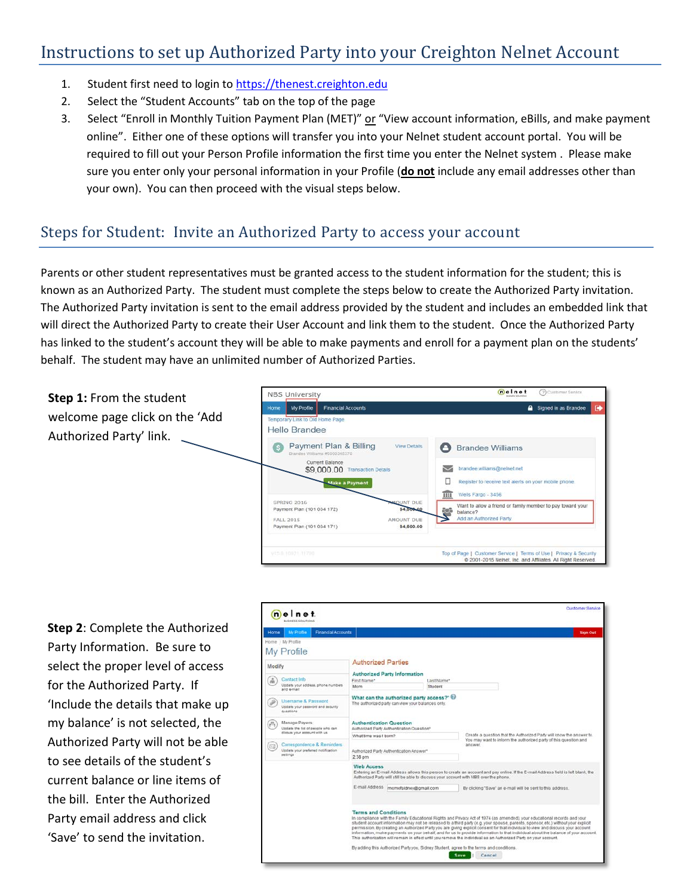## Instructions to set up Authorized Party into your Creighton Nelnet Account

- 1. Student first need to login to [https://thenest.creighton.edu](https://thenest.creighton.edu/)
- 2. Select the "Student Accounts" tab on the top of the page
- 3. Select "Enroll in Monthly Tuition Payment Plan (MET)" or "View account information, eBills, and make payment online". Either one of these options will transfer you into your Nelnet student account portal. You will be required to fill out your Person Profile information the first time you enter the Nelnet system . Please make sure you enter only your personal information in your Profile (**do not** include any email addresses other than your own). You can then proceed with the visual steps below.

## Steps for Student: Invite an Authorized Party to access your account

Parents or other student representatives must be granted access to the student information for the student; this is known as an Authorized Party. The student must complete the steps below to create the Authorized Party invitation. The Authorized Party invitation is sent to the email address provided by the student and includes an embedded link that will direct the Authorized Party to create their User Account and link them to the student. Once the Authorized Party has linked to the student's account they will be able to make payments and enroll for a payment plan on the students' behalf. The student may have an unlimited number of Authorized Parties.



**Step 2**: Complete the Authorized Party Information. Be sure to select the proper level of access for the Authorized Party. If 'Include the details that make up my balance' is not selected, the Authorized Party will not be able to see details of the student's current balance or line items of the bill. Enter the Authorized Party email address and click 'Save' to send the invitation.